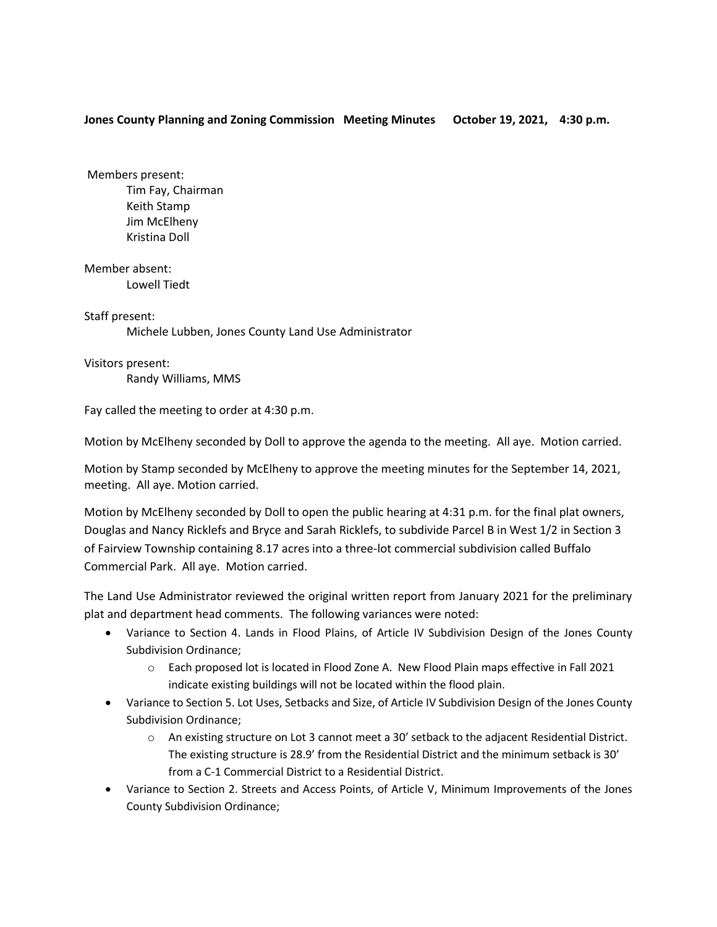## **Jones County Planning and Zoning Commission Meeting Minutes October 19, 2021, 4:30 p.m.**

Members present: Tim Fay, Chairman Keith Stamp Jim McElheny Kristina Doll

Member absent: Lowell Tiedt

Staff present: Michele Lubben, Jones County Land Use Administrator

Visitors present: Randy Williams, MMS

Fay called the meeting to order at 4:30 p.m.

Motion by McElheny seconded by Doll to approve the agenda to the meeting. All aye. Motion carried.

Motion by Stamp seconded by McElheny to approve the meeting minutes for the September 14, 2021, meeting. All aye. Motion carried.

Motion by McElheny seconded by Doll to open the public hearing at 4:31 p.m. for the final plat owners, Douglas and Nancy Ricklefs and Bryce and Sarah Ricklefs, to subdivide Parcel B in West 1/2 in Section 3 of Fairview Township containing 8.17 acres into a three-lot commercial subdivision called Buffalo Commercial Park. All aye. Motion carried.

The Land Use Administrator reviewed the original written report from January 2021 for the preliminary plat and department head comments. The following variances were noted:

- Variance to Section 4. Lands in Flood Plains, of Article IV Subdivision Design of the Jones County Subdivision Ordinance;
	- o Each proposed lot is located in Flood Zone A. New Flood Plain maps effective in Fall 2021 indicate existing buildings will not be located within the flood plain.
- Variance to Section 5. Lot Uses, Setbacks and Size, of Article IV Subdivision Design of the Jones County Subdivision Ordinance;
	- o An existing structure on Lot 3 cannot meet a 30' setback to the adjacent Residential District. The existing structure is 28.9' from the Residential District and the minimum setback is 30' from a C-1 Commercial District to a Residential District.
- Variance to Section 2. Streets and Access Points, of Article V, Minimum Improvements of the Jones County Subdivision Ordinance;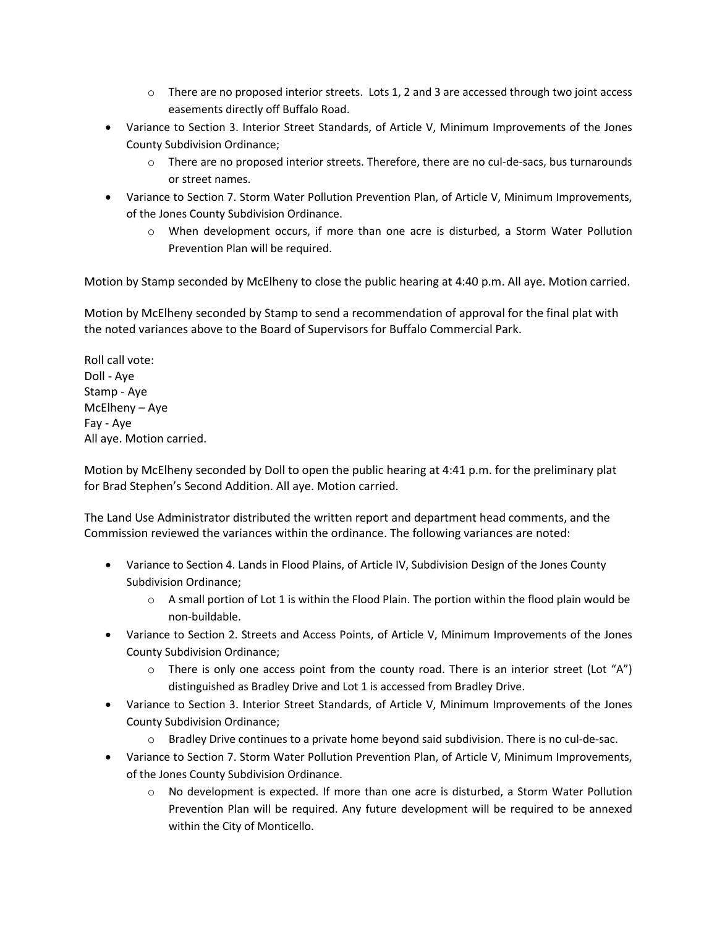- $\circ$  There are no proposed interior streets. Lots 1, 2 and 3 are accessed through two joint access easements directly off Buffalo Road.
- Variance to Section 3. Interior Street Standards, of Article V, Minimum Improvements of the Jones County Subdivision Ordinance;
	- $\circ$  There are no proposed interior streets. Therefore, there are no cul-de-sacs, bus turnarounds or street names.
- Variance to Section 7. Storm Water Pollution Prevention Plan, of Article V, Minimum Improvements, of the Jones County Subdivision Ordinance.
	- o When development occurs, if more than one acre is disturbed, a Storm Water Pollution Prevention Plan will be required.

Motion by Stamp seconded by McElheny to close the public hearing at 4:40 p.m. All aye. Motion carried.

Motion by McElheny seconded by Stamp to send a recommendation of approval for the final plat with the noted variances above to the Board of Supervisors for Buffalo Commercial Park.

Roll call vote: Doll - Aye Stamp - Aye McElheny – Aye Fay - Aye All aye. Motion carried.

Motion by McElheny seconded by Doll to open the public hearing at 4:41 p.m. for the preliminary plat for Brad Stephen's Second Addition. All aye. Motion carried.

The Land Use Administrator distributed the written report and department head comments, and the Commission reviewed the variances within the ordinance. The following variances are noted:

- Variance to Section 4. Lands in Flood Plains, of Article IV, Subdivision Design of the Jones County Subdivision Ordinance;
	- $\circ$  A small portion of Lot 1 is within the Flood Plain. The portion within the flood plain would be non-buildable.
- Variance to Section 2. Streets and Access Points, of Article V, Minimum Improvements of the Jones County Subdivision Ordinance;
	- $\circ$  There is only one access point from the county road. There is an interior street (Lot "A") distinguished as Bradley Drive and Lot 1 is accessed from Bradley Drive.
- Variance to Section 3. Interior Street Standards, of Article V, Minimum Improvements of the Jones County Subdivision Ordinance;
	- o Bradley Drive continues to a private home beyond said subdivision. There is no cul-de-sac.
- Variance to Section 7. Storm Water Pollution Prevention Plan, of Article V, Minimum Improvements, of the Jones County Subdivision Ordinance.
	- o No development is expected. If more than one acre is disturbed, a Storm Water Pollution Prevention Plan will be required. Any future development will be required to be annexed within the City of Monticello.